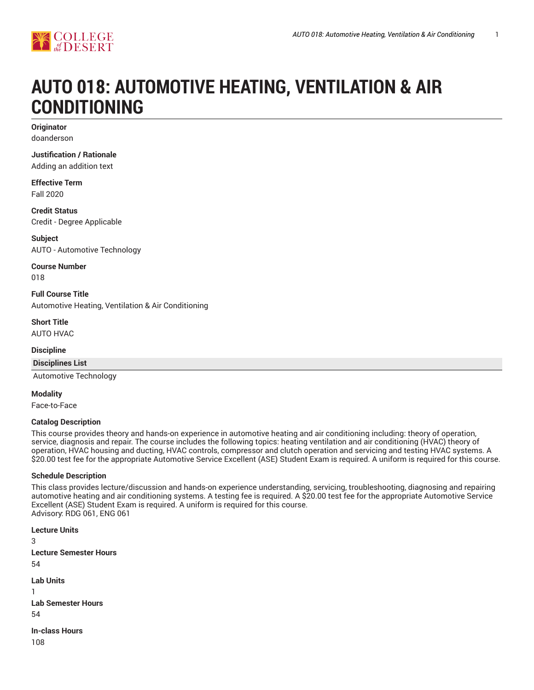

# **AUTO 018: AUTOMOTIVE HEATING, VENTILATION & AIR CONDITIONING**

**Originator** doanderson

**Justification / Rationale**

Adding an addition text

**Effective Term** Fall 2020

**Credit Status** Credit - Degree Applicable

**Subject** AUTO - Automotive Technology

**Course Number**

018

**Full Course Title** Automotive Heating, Ventilation & Air Conditioning

**Short Title** AUTO HVAC

### **Discipline**

**Disciplines List**

Automotive Technology

**Modality**

Face-to-Face

#### **Catalog Description**

This course provides theory and hands-on experience in automotive heating and air conditioning including: theory of operation, service, diagnosis and repair. The course includes the following topics: heating ventilation and air conditioning (HVAC) theory of operation, HVAC housing and ducting, HVAC controls, compressor and clutch operation and servicing and testing HVAC systems. A \$20.00 test fee for the appropriate Automotive Service Excellent (ASE) Student Exam is required. A uniform is required for this course.

#### **Schedule Description**

This class provides lecture/discussion and hands-on experience understanding, servicing, troubleshooting, diagnosing and repairing automotive heating and air conditioning systems. A testing fee is required. A \$20.00 test fee for the appropriate Automotive Service Excellent (ASE) Student Exam is required. A uniform is required for this course. Advisory: RDG 061, ENG 061

**Lecture Units** 3 **Lecture Semester Hours** 54 **Lab Units** 1 **Lab Semester Hours** 54 **In-class Hours** 108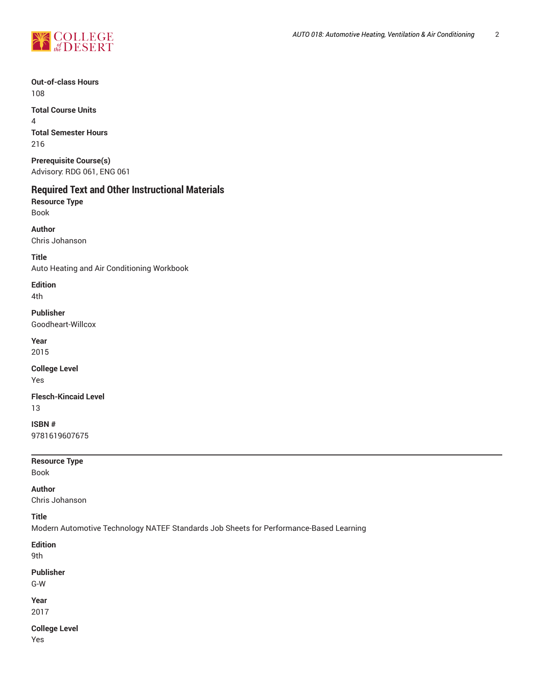

**Out-of-class Hours** 108

**Total Course Units** 4 **Total Semester Hours** 216

**Prerequisite Course(s)** Advisory: RDG 061, ENG 061

## **Required Text and Other Instructional Materials**

**Resource Type** Book

**Author** Chris Johanson

**Title**

Auto Heating and Air Conditioning Workbook

**Edition**

4th **Publisher**

Goodheart-Willcox

**Year** 2015

**College Level** Yes

**Flesch-Kincaid Level** 13

**ISBN #** 9781619607675

**Resource Type**

Book

**Author**

Chris Johanson

**Title**

Modern Automotive Technology NATEF Standards Job Sheets for Performance-Based Learning

**Edition**

9th

**Publisher**

G-W

**Year**

2017

**College Level** Yes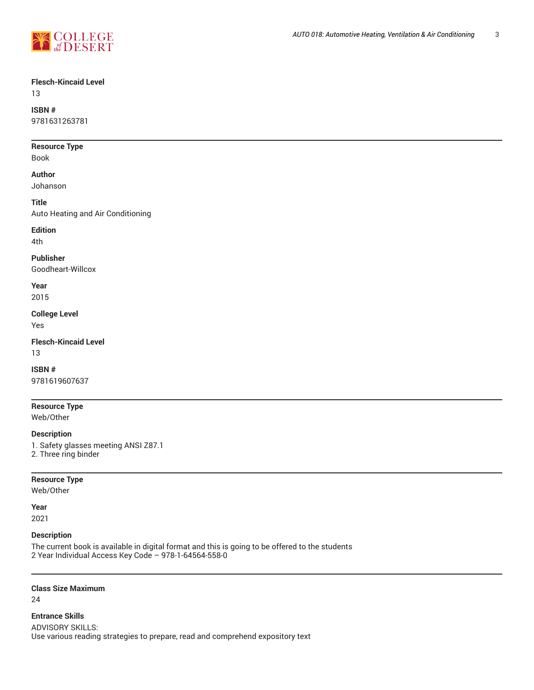

#### **Flesch-Kincaid Level**

13

## **ISBN #**

9781631263781

#### **Resource Type**

Book

#### **Author**

Johanson

#### **Title**

Auto Heating and Air Conditioning

## **Edition**

4th

#### **Publisher**

Goodheart-Willcox

#### **Year** 2015

**College Level** Yes

## **Flesch-Kincaid Level**

13

#### **ISBN #**

9781619607637

#### **Resource Type**

Web/Other

#### **Description**

1. Safety glasses meeting ANSI Z87.1 2. Three ring binder

#### **Resource Type**

Web/Other

#### **Year**

2021

#### **Description**

The current book is available in digital format and this is going to be offered to the students 2 Year Individual Access Key Code – 978-1-64564-558-0

#### **Class Size Maximum**

24

#### **Entrance Skills**

ADVISORY SKILLS: Use various reading strategies to prepare, read and comprehend expository text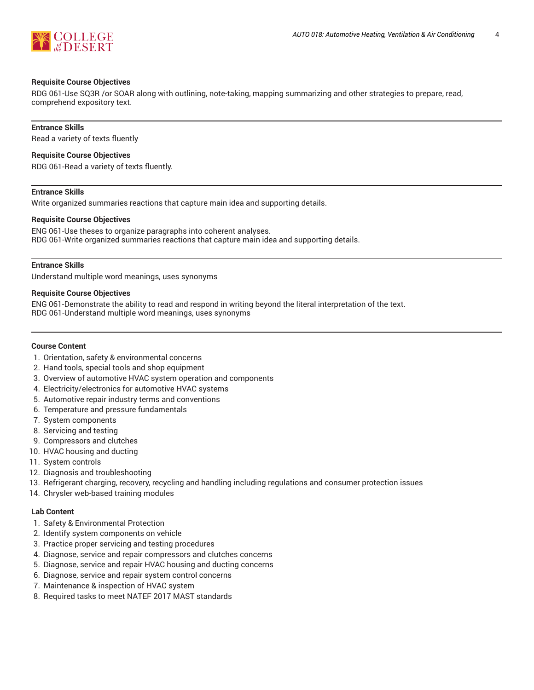

#### **Requisite Course Objectives**

RDG 061-Use SQ3R /or SOAR along with outlining, note-taking, mapping summarizing and other strategies to prepare, read, comprehend expository text.

#### **Entrance Skills**

Read a variety of texts fluently

#### **Requisite Course Objectives**

RDG 061-Read a variety of texts fluently.

#### **Entrance Skills**

Write organized summaries reactions that capture main idea and supporting details.

#### **Requisite Course Objectives**

ENG 061-Use theses to organize paragraphs into coherent analyses. RDG 061-Write organized summaries reactions that capture main idea and supporting details.

#### **Entrance Skills**

Understand multiple word meanings, uses synonyms

#### **Requisite Course Objectives**

ENG 061-Demonstrate the ability to read and respond in writing beyond the literal interpretation of the text. RDG 061-Understand multiple word meanings, uses synonyms

#### **Course Content**

- 1. Orientation, safety & environmental concerns
- 2. Hand tools, special tools and shop equipment
- 3. Overview of automotive HVAC system operation and components
- 4. Electricity/electronics for automotive HVAC systems
- 5. Automotive repair industry terms and conventions
- 6. Temperature and pressure fundamentals
- 7. System components
- 8. Servicing and testing
- 9. Compressors and clutches
- 10. HVAC housing and ducting
- 11. System controls
- 12. Diagnosis and troubleshooting
- 13. Refrigerant charging, recovery, recycling and handling including regulations and consumer protection issues
- 14. Chrysler web-based training modules

#### **Lab Content**

- 1. Safety & Environmental Protection
- 2. Identify system components on vehicle
- 3. Practice proper servicing and testing procedures
- 4. Diagnose, service and repair compressors and clutches concerns
- 5. Diagnose, service and repair HVAC housing and ducting concerns
- 6. Diagnose, service and repair system control concerns
- 7. Maintenance & inspection of HVAC system
- 8. Required tasks to meet NATEF 2017 MAST standards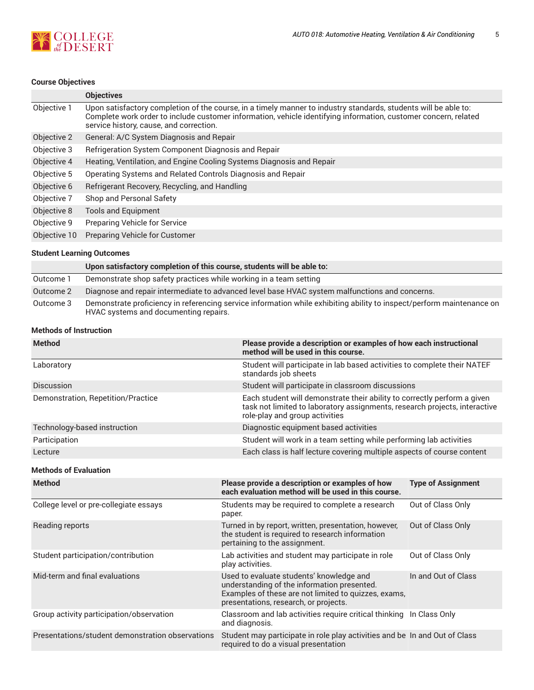

## **Course Objectives**

|              | <b>Objectives</b>                                                                                                                                                                                                                                                             |
|--------------|-------------------------------------------------------------------------------------------------------------------------------------------------------------------------------------------------------------------------------------------------------------------------------|
| Objective 1  | Upon satisfactory completion of the course, in a timely manner to industry standards, students will be able to:<br>Complete work order to include customer information, vehicle identifying information, customer concern, related<br>service history, cause, and correction. |
| Objective 2  | General: A/C System Diagnosis and Repair                                                                                                                                                                                                                                      |
| Objective 3  | Refrigeration System Component Diagnosis and Repair                                                                                                                                                                                                                           |
| Objective 4  | Heating, Ventilation, and Engine Cooling Systems Diagnosis and Repair                                                                                                                                                                                                         |
| Objective 5  | Operating Systems and Related Controls Diagnosis and Repair                                                                                                                                                                                                                   |
| Objective 6  | Refrigerant Recovery, Recycling, and Handling                                                                                                                                                                                                                                 |
| Objective 7  | Shop and Personal Safety                                                                                                                                                                                                                                                      |
| Objective 8  | <b>Tools and Equipment</b>                                                                                                                                                                                                                                                    |
| Objective 9  | <b>Preparing Vehicle for Service</b>                                                                                                                                                                                                                                          |
| Objective 10 | Preparing Vehicle for Customer                                                                                                                                                                                                                                                |

#### **Student Learning Outcomes**

|           | Upon satisfactory completion of this course, students will be able to:                                                                                         |
|-----------|----------------------------------------------------------------------------------------------------------------------------------------------------------------|
| Outcome 1 | Demonstrate shop safety practices while working in a team setting                                                                                              |
| Outcome 2 | Diagnose and repair intermediate to advanced level base HVAC system malfunctions and concerns.                                                                 |
| Outcome 3 | Demonstrate proficiency in referencing service information while exhibiting ability to inspect/perform maintenance on<br>HVAC systems and documenting repairs. |

#### **Methods of Instruction**

| <b>Method</b>                                    | Please provide a description or examples of how each instructional<br>method will be used in this course.                                                                                |                           |  |
|--------------------------------------------------|------------------------------------------------------------------------------------------------------------------------------------------------------------------------------------------|---------------------------|--|
| Laboratory                                       | Student will participate in lab based activities to complete their NATEF<br>standards job sheets                                                                                         |                           |  |
| Discussion                                       | Student will participate in classroom discussions                                                                                                                                        |                           |  |
| Demonstration, Repetition/Practice               | Each student will demonstrate their ability to correctly perform a given<br>task not limited to laboratory assignments, research projects, interactive<br>role-play and group activities |                           |  |
| Technology-based instruction                     | Diagnostic equipment based activities                                                                                                                                                    |                           |  |
| Participation                                    | Student will work in a team setting while performing lab activities                                                                                                                      |                           |  |
| Lecture                                          | Each class is half lecture covering multiple aspects of course content                                                                                                                   |                           |  |
| <b>Methods of Evaluation</b>                     |                                                                                                                                                                                          |                           |  |
| <b>Method</b>                                    | Please provide a description or examples of how<br>each evaluation method will be used in this course.                                                                                   | <b>Type of Assignment</b> |  |
| College level or pre-collegiate essays           | Students may be required to complete a research<br>paper.                                                                                                                                | Out of Class Only         |  |
| Reading reports                                  | Turned in by report, written, presentation, however,<br>the student is required to research information<br>pertaining to the assignment.                                                 | Out of Class Only         |  |
| Student participation/contribution               | Lab activities and student may participate in role<br>play activities.                                                                                                                   | Out of Class Only         |  |
| Mid-term and final evaluations                   | Used to evaluate students' knowledge and<br>understanding of the information presented.<br>Examples of these are not limited to quizzes, exams,<br>presentations, research, or projects. | In and Out of Class       |  |
| Group activity participation/observation         | Classroom and lab activities require critical thinking In Class Only<br>and diagnosis.                                                                                                   |                           |  |
| Presentations/student demonstration observations | Student may participate in role play activities and be In and Out of Class<br>required to do a visual presentation                                                                       |                           |  |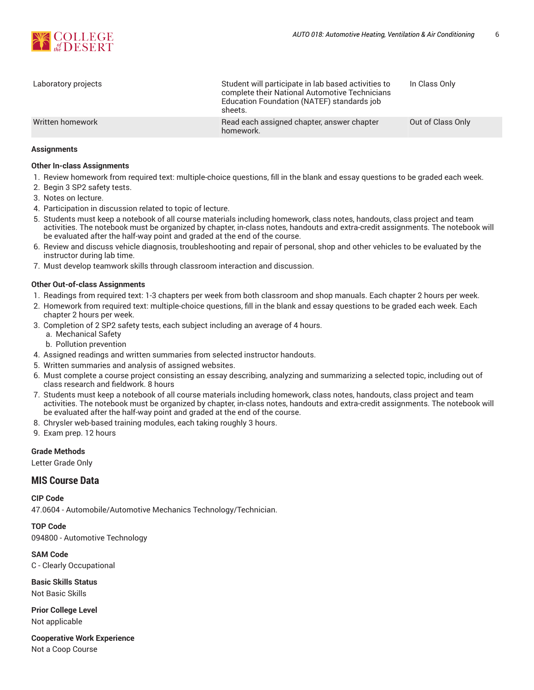

| Laboratory projects | Student will participate in lab based activities to<br>complete their National Automotive Technicians<br>Education Foundation (NATEF) standards job<br>sheets. | In Class Only     |
|---------------------|----------------------------------------------------------------------------------------------------------------------------------------------------------------|-------------------|
| Written homework    | Read each assigned chapter, answer chapter<br>homework.                                                                                                        | Out of Class Only |

#### **Assignments**

#### **Other In-class Assignments**

- 1. Review homework from required text: multiple-choice questions, fill in the blank and essay questions to be graded each week.
- 2. Begin 3 SP2 safety tests.
- 3. Notes on lecture.
- 4. Participation in discussion related to topic of lecture.
- 5. Students must keep a notebook of all course materials including homework, class notes, handouts, class project and team activities. The notebook must be organized by chapter, in-class notes, handouts and extra-credit assignments. The notebook will be evaluated after the half-way point and graded at the end of the course.
- 6. Review and discuss vehicle diagnosis, troubleshooting and repair of personal, shop and other vehicles to be evaluated by the instructor during lab time.
- 7. Must develop teamwork skills through classroom interaction and discussion.

#### **Other Out-of-class Assignments**

- 1. Readings from required text: 1-3 chapters per week from both classroom and shop manuals. Each chapter 2 hours per week.
- 2. Homework from required text: multiple-choice questions, fill in the blank and essay questions to be graded each week. Each chapter 2 hours per week.
- 3. Completion of 2 SP2 safety tests, each subject including an average of 4 hours.
	- a. Mechanical Safety
	- b. Pollution prevention
- 4. Assigned readings and written summaries from selected instructor handouts.
- 5. Written summaries and analysis of assigned websites.
- 6. Must complete a course project consisting an essay describing, analyzing and summarizing a selected topic, including out of class research and fieldwork. 8 hours
- 7. Students must keep a notebook of all course materials including homework, class notes, handouts, class project and team activities. The notebook must be organized by chapter, in-class notes, handouts and extra-credit assignments. The notebook will be evaluated after the half-way point and graded at the end of the course.
- 8. Chrysler web-based training modules, each taking roughly 3 hours.
- 9. Exam prep. 12 hours

#### **Grade Methods**

Letter Grade Only

#### **MIS Course Data**

**CIP Code** 47.0604 - Automobile/Automotive Mechanics Technology/Technician.

**TOP Code** 094800 - Automotive Technology

**SAM Code**

C - Clearly Occupational

**Basic Skills Status** Not Basic Skills

**Prior College Level** Not applicable

**Cooperative Work Experience**

Not a Coop Course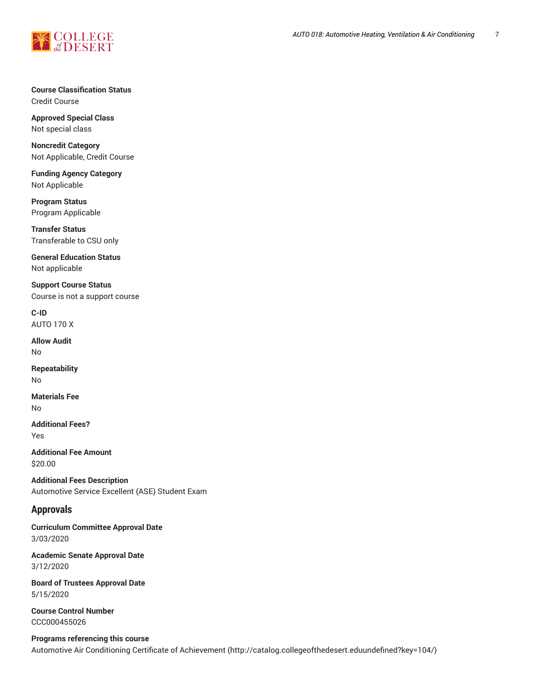

**Course Classification Status** Credit Course

**Approved Special Class** Not special class

**Noncredit Category** Not Applicable, Credit Course

**Funding Agency Category** Not Applicable

**Program Status** Program Applicable

**Transfer Status** Transferable to CSU only

**General Education Status** Not applicable

**Support Course Status** Course is not a support course

**C-ID** AUTO 170 X

**Allow Audit** No

**Repeatability** No

**Materials Fee** No

**Additional Fees?** Yes

**Additional Fee Amount** \$20.00

**Additional Fees Description** Automotive Service Excellent (ASE) Student Exam

## **Approvals**

**Curriculum Committee Approval Date** 3/03/2020

**Academic Senate Approval Date** 3/12/2020

**Board of Trustees Approval Date** 5/15/2020

**Course Control Number** CCC000455026

**Programs referencing this course** Automotive Air Conditioning Certificate of [Achievement \(http://catalog.collegeofthedesert.eduundefined?key=104/](http://catalog.collegeofthedesert.eduundefined?key=104/))